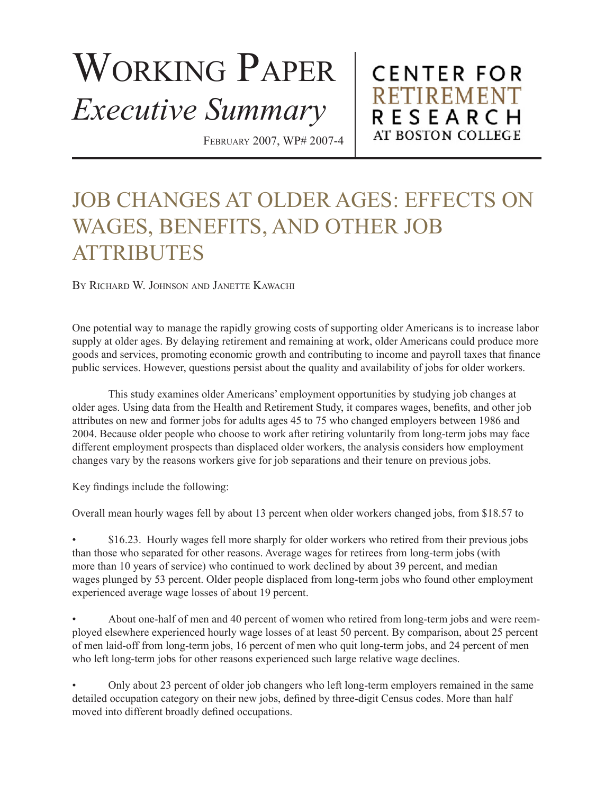## WORKING PAPER *Executive Summary*

February 2007, WP# 2007-4

**CENTER FOR RETIREMENT** RESEARCH AT BOSTON COLLEGE

## JOB CHANGES AT OLDER AGES: EFFECTS ON WAGES, BENEFITS, AND OTHER JOB **ATTRIBUTES**

By Richard W. Johnson and Janette Kawachi

One potential way to manage the rapidly growing costs of supporting older Americans is to increase labor supply at older ages. By delaying retirement and remaining at work, older Americans could produce more goods and services, promoting economic growth and contributing to income and payroll taxes that finance public services. However, questions persist about the quality and availability of jobs for older workers.

This study examines older Americans' employment opportunities by studying job changes at older ages. Using data from the Health and Retirement Study, it compares wages, benefits, and other job attributes on new and former jobs for adults ages 45 to 75 who changed employers between 1986 and 2004. Because older people who choose to work after retiring voluntarily from long-term jobs may face different employment prospects than displaced older workers, the analysis considers how employment changes vary by the reasons workers give for job separations and their tenure on previous jobs.

Key findings include the following:

Overall mean hourly wages fell by about 13 percent when older workers changed jobs, from \$18.57 to

\$16.23. Hourly wages fell more sharply for older workers who retired from their previous jobs than those who separated for other reasons. Average wages for retirees from long-term jobs (with more than 10 years of service) who continued to work declined by about 39 percent, and median wages plunged by 53 percent. Older people displaced from long-term jobs who found other employment experienced average wage losses of about 19 percent. •

• About one-half of men and 40 percent of women who retired from long-term jobs and were reemployed elsewhere experienced hourly wage losses of at least 50 percent. By comparison, about 25 percent of men laid-off from long-term jobs, 16 percent of men who quit long-term jobs, and 24 percent of men who left long-term jobs for other reasons experienced such large relative wage declines.

• Only about 23 percent of older job changers who left long-term employers remained in the same detailed occupation category on their new jobs, defined by three-digit Census codes. More than half moved into different broadly defined occupations.